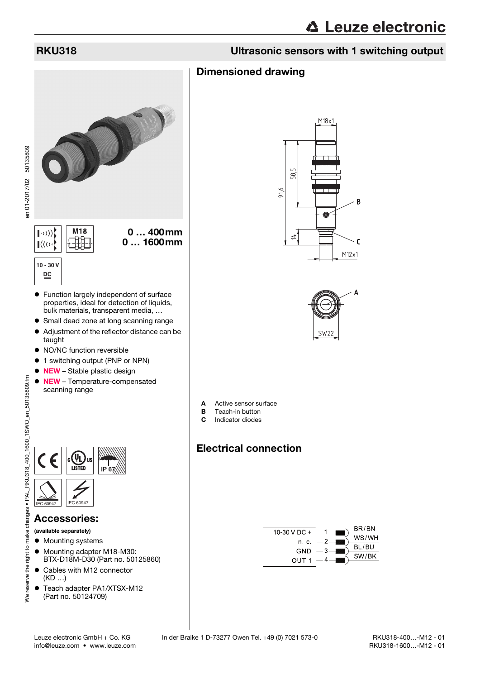# RKU318 Ultrasonic sensors with 1 switching output

# Dimensioned drawing



 Function largely independent of surface properties, ideal for detection of liquids, bulk materials, transparent media, …

0 … 400mm 0 … 1600mm

- Small dead zone at long scanning range
- Adjustment of the reflector distance can be taught
- NO/NC function reversible
- $\bullet$  1 switching output (PNP or NPN)
- NEW Stable plastic design
- NEW Temperature-compensated scanning range



### Accessories:

(available separately)

- $\bullet$  Mounting systems
- $\bullet$  Mounting adapter M18-M30: BTX-D18M-D30 (Part no. 50125860)
- Cables with M12 connector (KD …)
- Teach adapter PA1/XTSX-M12 (Part no. 50124709)





- A Active sensor surface
- **B** Teach-in button
- C Indicator diodes

# Electrical connection

<span id="page-0-0"></span>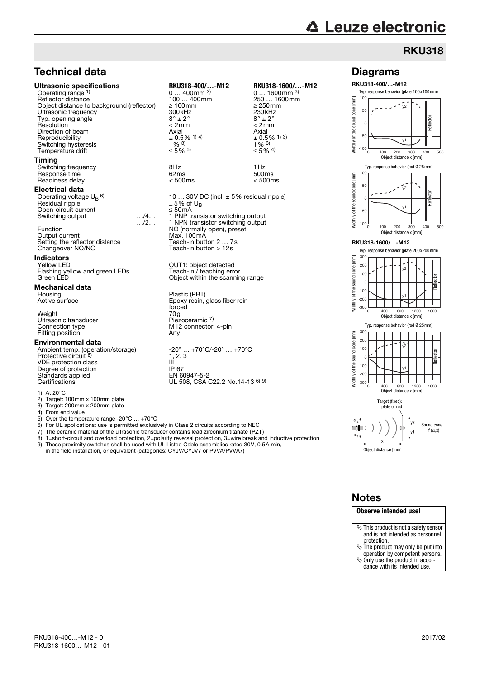# Technical data

#### Ultrasonic specifications **RKU318-400/…-M12 RKU318-1600/…-M12**

Operating range 1)<br>Reflector distance Object distance to background (reflector) Ultrasonic frequency<br>
Tvp. opening angle<br>  $8^\circ \pm 2^\circ$ <br>  $2^\circ$ <br>  $300 \text{kHz}$ <br>  $8^\circ \pm 2^\circ$ <br>  $300 \text{kHz}$ <br>  $300 \text{kHz}$ <br>  $300 \text{kHz}$ <br>  $300 \text{kHz}$ Typ. opening angle  $8^\circ \pm 2^\circ$   $8^\circ \pm 2^\circ$   $8^\circ \pm 2^\circ$   $8^\circ \pm 2^\circ$   $8^\circ \pm 2^\circ$   $8^\circ \pm 2^\circ$ Resolution < 2mm < 2mm Direction of beam  $\frac{1}{2}$ <br>  $\frac{1}{2}$  Axial Axial Axial Axial Axial Axial Axial Axial Axial Axial Axial Axial Axial Axial Axial Axial Axial Axial Axial Axial Axial Axial Axial Axial Axial Axial Axial Axial Axial Axial Ax Reproducibility  $\pm 0.5$   $\frac{1}{9}$  4) 400  $\pm 0.5$  4 Switching hysteresis  $\frac{1}{8}$ <br>
Temperature drift  $\leq 5\%$  5) Temperature drift

#### Timing

Switching frequency  $\begin{array}{ccc} 8\text{Hz} & 1\text{Hz} \\ \text{Resoonse time} & 62\text{ms} & 500\text{ms} \end{array}$ Response time  $\overline{62}$  ms  $\overline{62}$  ms  $\overline{500}$  500ms 500ms  $\overline{500}$  500ms Readiness delay

#### Electrical data

Operating voltage  $U_B$  6) Residual ripple Open-circuit current ≤ 50mA Switching output

Function NO (normally open), preset<br>
Output current Max. 100mA Output current Max. 100mA<br>
Setting the reflector distance Teach-in button 2 ... 7s Setting the reflector distance<br>Changeover NO/NC

# **Indicators**<br>Yellow LED

#### Mechanical data

Weight 70g Ultrasonic transducer Piezoceramic 7) Fitting position

#### Environmental data

Ambient temp. (operation/storage) -20° … +70°C/-20° … +70°C<br>Protective circuit <sup>8)</sup> 1, 2, 3 VDE protection class III Degree of protection IP 67<br>Standards applied EN 60947-5-2 Standards applied<br>Certifications

1) At 20°C

2) Target: 100mm x 100mm plate

3) Target: 200mm x 200mm plate<br>4) From end value

4) From end value<br>5) Over the tempe

5) Over the temperature range -20°C … +70°C

6) For UL applications: use is permitted exclusively in Class 2 circuits according to NEC

…/2…

- 7) The ceramic material of the ultrasonic transducer contains lead zirconium titanate (PZT)<br>8) 1=short-circuit and overload protection 2=polarity reversal protection 3=wire break and
- 8) 1=short-circuit and overload protection, 2=polarity reversal protection, 3=wire break and inductive protection<br>9) These proximity switches shall be used with UL Listed Cable assemblies rated 30V, 0.5A min. 9) These proximity switches shall be used with UL Listed Cable assemblies rated 30V, 0.5A min,
- in the field installation, or equivalent (categories: CYJV/CYJV7 or PVVA/PVVA7)

 $0...$  400 mm  $^{2}$ <br>100 ... 400 mm 100 … 400mm 250 … 1600mm<br>2 100mm 2500mm 2500mm<br>300kHz 230kHz

10 ... 30V DC (incl.  $\pm$  5% residual ripple)  $\pm$  5% of U<sub>R</sub>  $150$  mA<br>1 PNP transistor switching output 1 NPN transistor switching output

OUT1: object detected<br>Teach-in / teaching error Flashing yellow and green LEDs Teach-in / teaching error<br>Green LED Object within the scanning range

Housing Housing Plastic (PBT)<br>Active surface Epoxy resin, Epoxy resin, glass fiber reinforced<br>70g<br>Piezoceramic <sup>7)</sup> Connection type M12 connection type<br>
Fitting position<br>
Fitting position<br>
Any

-20° ... +70°C/-20° ... +70°C<br>1, 2, 3<br>III UL 508, CSA C22.2 No.14-13 6) 9)

# 0 ... 1600mm <sup>3)</sup>

 $\pm$  0.5% <sup>1)</sup> 3)<br>1% <sup>3)</sup> ≤ 5% 4)

Teach-in button  $> 12s$ 





### Notes

#### **Observe intended use!**

- $\%$  This product is not a safety sensor and is not intended as personnel protection.
- $\ddot{\phi}$  The product may only be put into operation by competent persons.
- Only use the product in accor-
- dance with its intended use.

Reflector

Reflector

**Reflector** 

Reflector

0 100 200 300 400 500 y1

0 100 200 300 400 500 Object distance x [mm]

0 400 800 1600 1200 Object distance x [mm]

Typ. response behavior (rod Ø 25mm)

y1

 $\sqrt{2}$ 

y1

y2

Typ. response behavior (plate 200x200mm)

y1

y2

Object distance x [mm]

Typ. response behavior (rod Ø 25mm)

–<br>V2

Typ. response behavior (plate 100x100mm)

Diagrams RKU318-400/…-M12

**△ Leuze electronic** 

 $-100$  $-50$ 0 50  $10<sub>0</sub>$ 

-100 -50  $\overline{c}$ 50 100

-300  $-20$ 

> $\overline{0}$ 100

 $200$ 300

 $-100$ 

Width y of the sound cone [mm]

of the sound cone

Vidth y

 $\overline{m}$ 

[mm]

 $20^{10}$ 300

 $\overline{c}$ 100

Width y of the sound cone [mm]

 $\overline{m}$ cone sound y of the s Width

Width y of the sound cone [mm]

Ē cone sound of the s Vidth

RKU318-1600/…-M12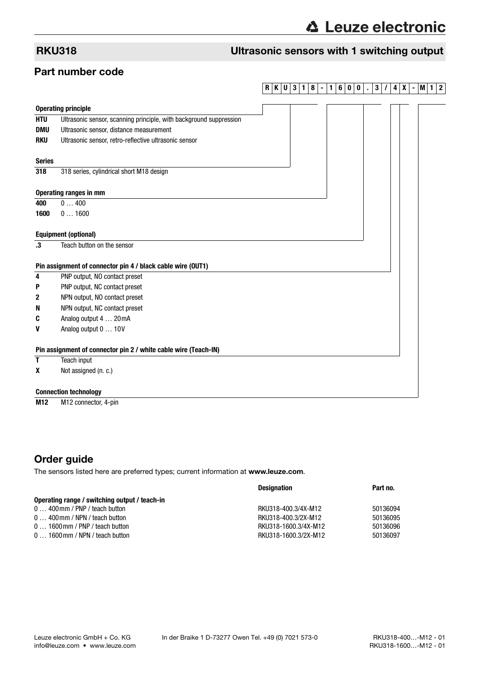# RKU318 Ultrasonic sensors with 1 switching output

## Part number code

### **RKU3 1 8 - 1 6 0 0 . 3 / 4X -M1 2**

| <b>Operating principle</b>                                      |                                                                    |  |  |  |  |  |  |  |
|-----------------------------------------------------------------|--------------------------------------------------------------------|--|--|--|--|--|--|--|
| <b>HTU</b>                                                      | Ultrasonic sensor, scanning principle, with background suppression |  |  |  |  |  |  |  |
| <b>DMU</b>                                                      | Ultrasonic sensor, distance measurement                            |  |  |  |  |  |  |  |
| <b>RKU</b>                                                      | Ultrasonic sensor, retro-reflective ultrasonic sensor              |  |  |  |  |  |  |  |
| <b>Series</b>                                                   |                                                                    |  |  |  |  |  |  |  |
| 318                                                             | 318 series, cylindrical short M18 design                           |  |  |  |  |  |  |  |
|                                                                 | <b>Operating ranges in mm</b>                                      |  |  |  |  |  |  |  |
| 400                                                             | 0400                                                               |  |  |  |  |  |  |  |
| 1600                                                            | 01600                                                              |  |  |  |  |  |  |  |
| <b>Equipment (optional)</b>                                     |                                                                    |  |  |  |  |  |  |  |
| $\cdot$ 3                                                       | Teach button on the sensor                                         |  |  |  |  |  |  |  |
| Pin assignment of connector pin 4 / black cable wire (OUT1)     |                                                                    |  |  |  |  |  |  |  |
| 4                                                               | PNP output, NO contact preset                                      |  |  |  |  |  |  |  |
| P                                                               | PNP output, NC contact preset                                      |  |  |  |  |  |  |  |
| 2                                                               | NPN output, NO contact preset                                      |  |  |  |  |  |  |  |
| N                                                               | NPN output, NC contact preset                                      |  |  |  |  |  |  |  |
| C                                                               | Analog output 4  20 mA                                             |  |  |  |  |  |  |  |
| V                                                               | Analog output 0  10V                                               |  |  |  |  |  |  |  |
| Pin assignment of connector pin 2 / white cable wire (Teach-IN) |                                                                    |  |  |  |  |  |  |  |
| T                                                               | Teach input                                                        |  |  |  |  |  |  |  |
| x                                                               | Not assigned (n. c.)                                               |  |  |  |  |  |  |  |
| <b>Connection technology</b>                                    |                                                                    |  |  |  |  |  |  |  |
|                                                                 |                                                                    |  |  |  |  |  |  |  |

**M12** M12 connector, 4-pin

# Order guide

The sensors listed here are preferred types; current information at www.leuze.com.

|                                               | <b>Designation</b>   | Part no. |
|-----------------------------------------------|----------------------|----------|
| Operating range / switching output / teach-in |                      |          |
| $0$ 400 mm / PNP / teach button               | RKU318-400.3/4X-M12  | 50136094 |
| $0$ 400 mm / NPN / teach button               | RKU318-400.3/2X-M12  | 50136095 |
| $01600$ mm / PNP / teach button               | RKU318-1600.3/4X-M12 | 50136096 |
| $01600$ mm / NPN / teach button               | RKU318-1600.3/2X-M12 | 50136097 |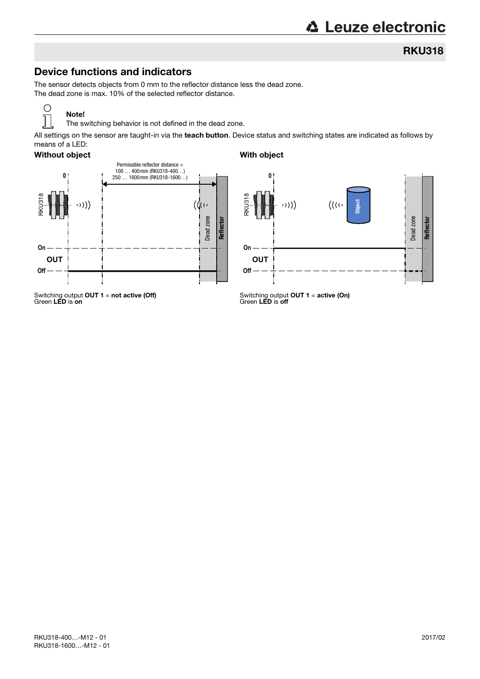### RKU318

# Device functions and indicators

The sensor detects objects from 0 mm to the reflector distance less the dead zone. The dead zone is max. 10% of the selected reflector distance.

### Ő ī

The switching behavior is not defined in the dead zone.

All settings on the sensor are taught-in via the teach button. Device status and switching states are indicated as follows by means of a LED:

#### Without object With object

Note!



**0** RKU318 **Object** (((ر  $\mathcal{O}(\mathcal{O})$ Dead zone **Reflector On OUT Off**

Switching output **OUT 1 = not active (Off)**<br>Green **LED** is **on** 

Switching output **OUT 1 = active (On)**<br>Green **LED** is **off**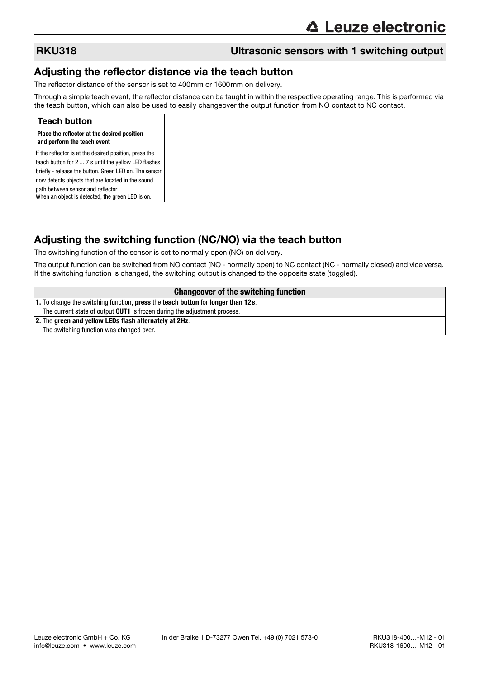# RKU318 Ultrasonic sensors with 1 switching output

### Adjusting the reflector distance via the teach button

The reflector distance of the sensor is set to 400mm or 1600mm on delivery.

Through a simple teach event, the reflector distance can be taught in within the respective operating range. This is performed via the teach button, which can also be used to easily changeover the output function from NO contact to NC contact.

#### **Teach button**

#### **Place the reflector at the desired position and perform the teach event**

If the reflector is at the desired position, press the teach button for 2 ... 7 s until the yellow LED flashes briefly - release the button. Green LED on. The sensor now detects objects that are located in the sound path between sensor and reflector. When an object is detected, the green LED is on.

# Adjusting the switching function (NC/NO) via the teach button

The switching function of the sensor is set to normally open (NO) on delivery.

The output function can be switched from NO contact (NO - normally open) to NC contact (NC - normally closed) and vice versa. If the switching function is changed, the switching output is changed to the opposite state (toggled).

#### **Changeover of the switching function**

**1.** To change the switching function, **press** the **teach button** for **longer than 12s**.

The current state of output **OUT1** is frozen during the adjustment process.

**2.** The **green and yellow LEDs flash alternately at 2Hz**. The switching function was changed over.

info@leuze.com • www.leuze.com [RKU318-1600…-M12 - 01](#page-0-0)